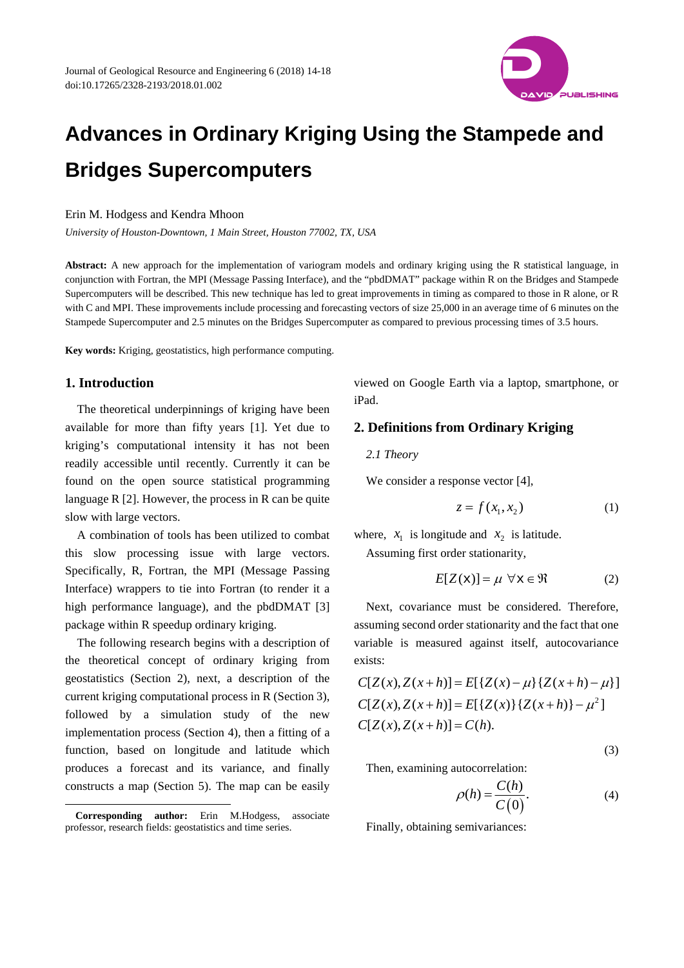

# **Advances in Ordinary Kriging Using the Stampede and Bridges Supercomputers**

#### Erin M. Hodgess and Kendra Mhoon

*University of Houston-Downtown, 1 Main Street, Houston 77002, TX, USA* 

**Abstract:** A new approach for the implementation of variogram models and ordinary kriging using the R statistical language, in conjunction with Fortran, the MPI (Message Passing Interface), and the "pbdDMAT" package within R on the Bridges and Stampede Supercomputers will be described. This new technique has led to great improvements in timing as compared to those in R alone, or R with C and MPI. These improvements include processing and forecasting vectors of size 25,000 in an average time of 6 minutes on the Stampede Supercomputer and 2.5 minutes on the Bridges Supercomputer as compared to previous processing times of 3.5 hours.

**Key words:** Kriging, geostatistics, high performance computing.

## **1. Introduction**

 $\overline{a}$ 

The theoretical underpinnings of kriging have been available for more than fifty years [1]. Yet due to kriging's computational intensity it has not been readily accessible until recently. Currently it can be found on the open source statistical programming language  $R$  [2]. However, the process in  $R$  can be quite slow with large vectors.

A combination of tools has been utilized to combat this slow processing issue with large vectors. Specifically, R, Fortran, the MPI (Message Passing Interface) wrappers to tie into Fortran (to render it a high performance language), and the pbdDMAT [3] package within R speedup ordinary kriging.

The following research begins with a description of the theoretical concept of ordinary kriging from geostatistics (Section 2), next, a description of the current kriging computational process in R (Section 3), followed by a simulation study of the new implementation process (Section 4), then a fitting of a function, based on longitude and latitude which produces a forecast and its variance, and finally constructs a map (Section 5). The map can be easily

viewed on Google Earth via a laptop, smartphone, or iPad.

## **2. Definitions from Ordinary Kriging**

*2.1 Theory* 

We consider a response vector [4],

$$
z = f(x_1, x_2) \tag{1}
$$

where,  $x_1$  is longitude and  $x_2$  is latitude.

Assuming first order stationarity,

$$
E[Z(\mathbf{x})] = \mu \ \forall \mathbf{x} \in \mathfrak{R} \tag{2}
$$

Next, covariance must be considered. Therefore, assuming second order stationarity and the fact that one variable is measured against itself, autocovariance exists:

$$
C[Z(x), Z(x+h)] = E[{Z(x) - \mu} {Z(x+h) - \mu}]
$$
  
\n
$$
C[Z(x), Z(x+h)] = E[{Z(x)}{Z(x+h)} - \mu^2]
$$
  
\n
$$
C[Z(x), Z(x+h)] = C(h).
$$

$$
(\mathbf{3})
$$

Then, examining autocorrelation:

$$
\rho(h) = \frac{C(h)}{C(0)}.\tag{4}
$$

Finally, obtaining semivariances:

**Corresponding author:** Erin M.Hodgess, associate professor, research fields: geostatistics and time series.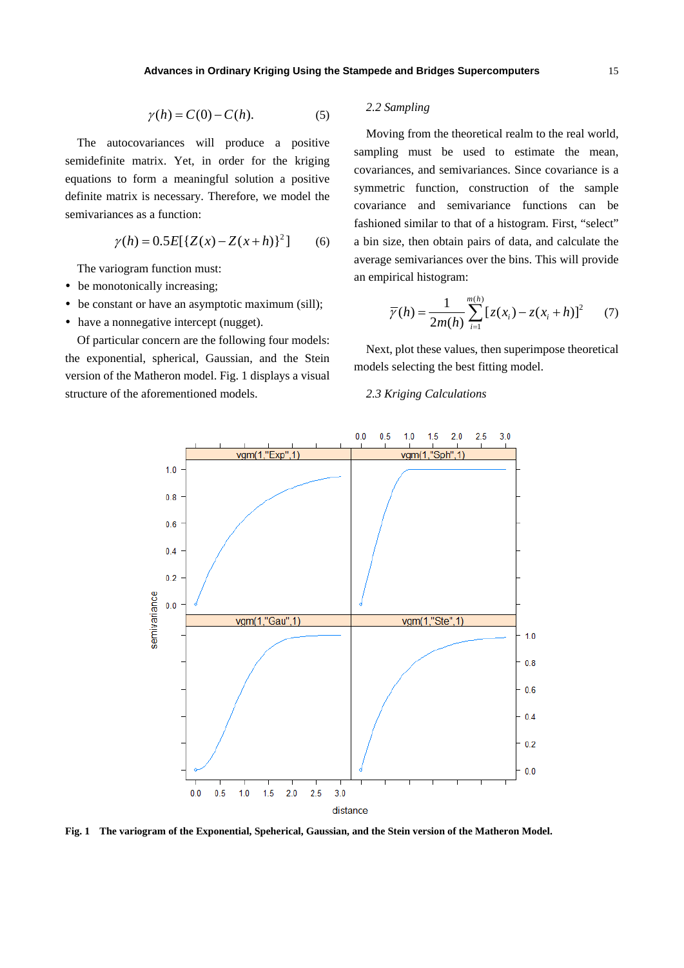$$
\gamma(h) = C(0) - C(h). \tag{5}
$$

The autocovariances will produce a positive semidefinite matrix. Yet, in order for the kriging equations to form a meaningful solution a positive definite matrix is necessary. Therefore, we model the semivariances as a function:

$$
\gamma(h) = 0.5E[{Z(x) - Z(x+h)}^2] \qquad (6)
$$

The variogram function must:

- be monotonically increasing;
- be constant or have an asymptotic maximum (sill);
- have a nonnegative intercept (nugget).

Of particular concern are the following four models: the exponential, spherical, Gaussian, and the Stein version of the Matheron model. Fig. 1 displays a visual structure of the aforementioned models.

## *2.2 Sampling*

Moving from the theoretical realm to the real world, sampling must be used to estimate the mean, covariances, and semivariances. Since covariance is a symmetric function, construction of the sample covariance and semivariance functions can be fashioned similar to that of a histogram. First, "select" a bin size, then obtain pairs of data, and calculate the average semivariances over the bins. This will provide an empirical histogram:

$$
\overline{\gamma}(h) = \frac{1}{2m(h)} \sum_{i=1}^{m(h)} [z(x_i) - z(x_i + h)]^2 \qquad (7)
$$

Next, plot these values, then superimpose theoretical models selecting the best fitting model.

#### *2.3 Kriging Calculations*



**Fig. 1 The variogram of the Exponential, Speherical, Gaussian, and the Stein version of the Matheron Model.**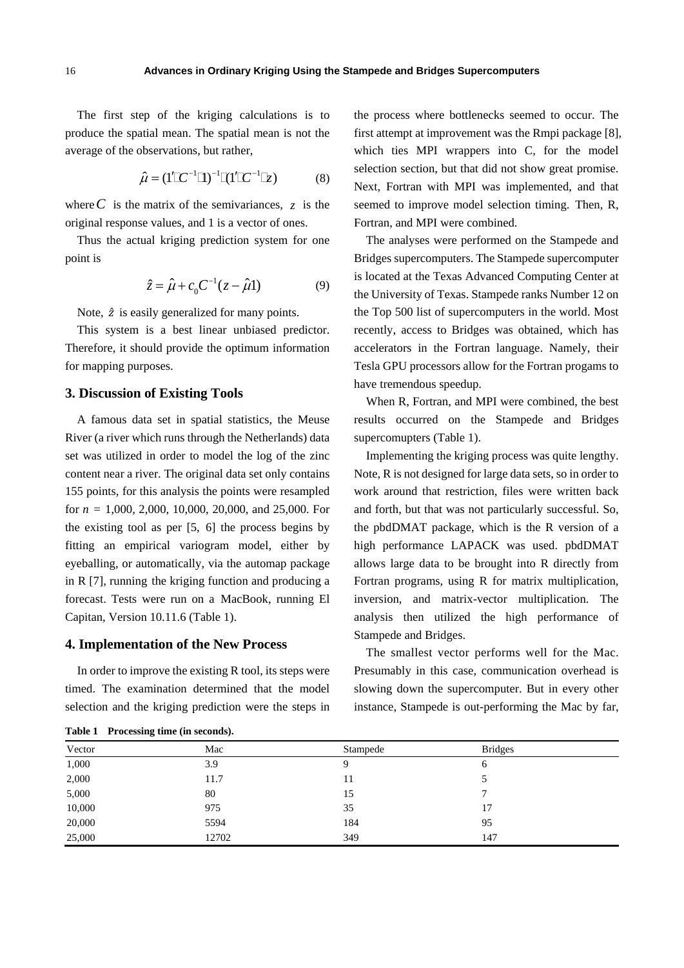The first step of the kriging calculations is to produce the spatial mean. The spatial mean is not the average of the observations, but rather,

$$
\hat{\mu} = (1'\mathbb{C}^{-1}\mathbb{I})^{-1}\mathbb{I}(1'\mathbb{C}^{-1}\mathbb{I}_{\mathcal{E}}) \tag{8}
$$

where  $C$  is the matrix of the semivariances,  $\zeta$  is the original response values, and 1 is a vector of ones.

Thus the actual kriging prediction system for one point is

$$
\hat{z} = \hat{\mu} + c_0 C^{-1} (z - \hat{\mu} 1)
$$
 (9)

Note,  $\hat{z}$  is easily generalized for many points.

This system is a best linear unbiased predictor. Therefore, it should provide the optimum information for mapping purposes.

#### **3. Discussion of Existing Tools**

A famous data set in spatial statistics, the Meuse River (a river which runs through the Netherlands) data set was utilized in order to model the log of the zinc content near a river. The original data set only contains 155 points, for this analysis the points were resampled for *n* = 1,000, 2,000, 10,000, 20,000, and 25,000. For the existing tool as per [5, 6] the process begins by fitting an empirical variogram model, either by eyeballing, or automatically, via the automap package in R [7], running the kriging function and producing a forecast. Tests were run on a MacBook, running El Capitan, Version 10.11.6 (Table 1).

#### **4. Implementation of the New Process**

In order to improve the existing R tool, its steps were timed. The examination determined that the model selection and the kriging prediction were the steps in the process where bottlenecks seemed to occur. The first attempt at improvement was the Rmpi package [8], which ties MPI wrappers into C, for the model selection section, but that did not show great promise. Next, Fortran with MPI was implemented, and that seemed to improve model selection timing. Then, R, Fortran, and MPI were combined.

The analyses were performed on the Stampede and Bridges supercomputers. The Stampede supercomputer is located at the Texas Advanced Computing Center at the University of Texas. Stampede ranks Number 12 on the Top 500 list of supercomputers in the world. Most recently, access to Bridges was obtained, which has accelerators in the Fortran language. Namely, their Tesla GPU processors allow for the Fortran progams to have tremendous speedup.

When R, Fortran, and MPI were combined, the best results occurred on the Stampede and Bridges supercomupters (Table 1).

Implementing the kriging process was quite lengthy. Note, R is not designed for large data sets, so in order to work around that restriction, files were written back and forth, but that was not particularly successful. So, the pbdDMAT package, which is the R version of a high performance LAPACK was used. pbdDMAT allows large data to be brought into R directly from Fortran programs, using R for matrix multiplication, inversion, and matrix-vector multiplication. The analysis then utilized the high performance of Stampede and Bridges.

The smallest vector performs well for the Mac. Presumably in this case, communication overhead is slowing down the supercomputer. But in every other instance, Stampede is out-performing the Mac by far,

| Vector | Mac   | Stampede | <b>Bridges</b> |
|--------|-------|----------|----------------|
| 1,000  | 3.9   | Q        | O              |
| 2,000  | 11.7  | 11       |                |
| 5,000  | 80    | 15       | -              |
| 10,000 | 975   | 35       | 17             |
| 20,000 | 5594  | 184      | 95             |
| 25,000 | 12702 | 349      | 147            |

**Table 1 Processing time (in seconds).**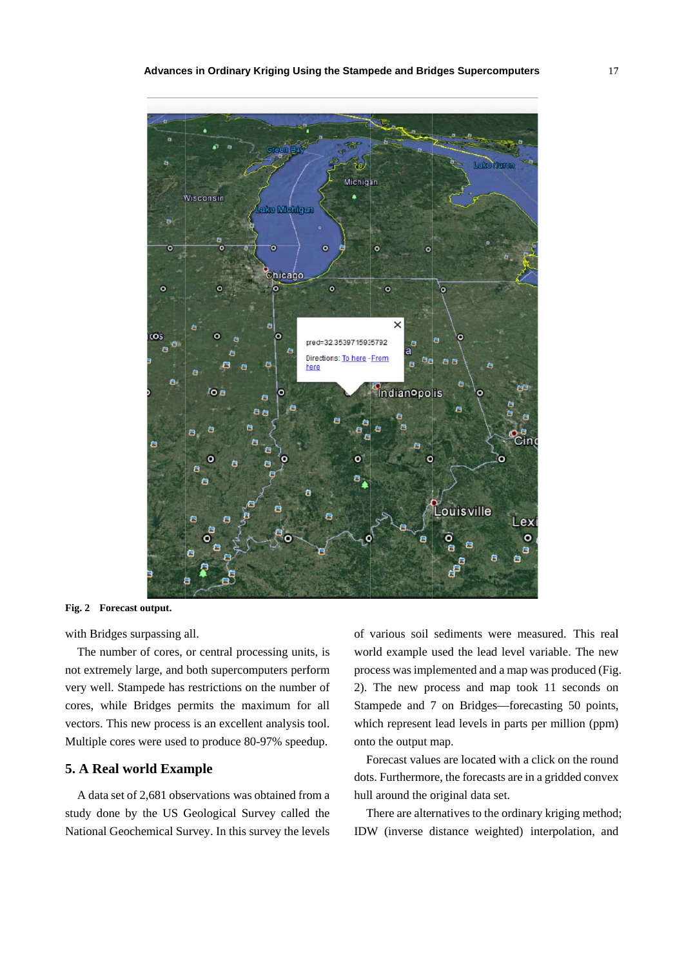

Fig. 2 Forecast output.

with Bridges surpassing all.

The number of cores, or central processing units, is not extremely large, and both supercomputers perform very well. Stampede has restrictions on the number of cores, while Bridges permits the maximum for all vectors. This new process is an excellent analysis tool. Multiple cores were used to produce 80-97% speedup.

## **5. A Real world Example**

A data set of 2,681 observations was obtained from a study done by the US Geological Survey called the National Geochemical Survey. In this survey the levels of various soil sediments were measured. This real world example used the lead level variable. The new pro cess was imp lemented and d a map was p produced (Fig 2). The new process and map took 11 seconds on Stampede and 7 on Bridges—forecasting 50 points, which represent lead levels in parts per million (ppm) onto the output map. 17<br>www.jg. n<br>s,<br>d)<br>d<br>x<br>d;

Forecast values are located with a click on the round dots. Furthermore, the forecasts are in a gridded convex hull around the original data set.

There are alternatives to the ordinary kriging method IDW (inverse distance weighted) interpolation, and